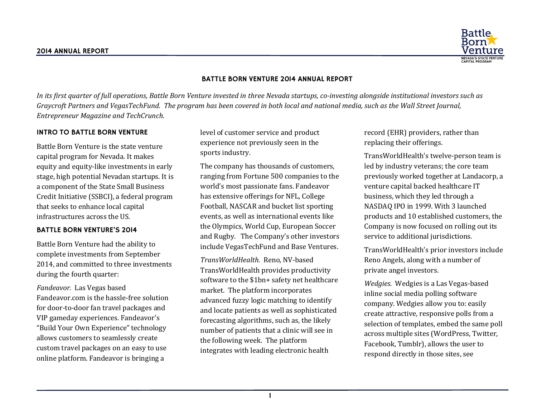

#### BATTLE BORN VENTURE 2014 ANNUAL REPORT

In its first quarter of full operations, Battle Born Venture invested in three Nevada startups, co-investing alongside institutional investors such as *Graycroft Partners and VegasTechFund. The program has been covered in both local and national media, such as the Wall Street Journal, Entrepreneur Magazine and TechCrunch.*

#### INTRO TO BATTLE BORN VENTURE

Battle Born Venture is the state venture capital program for Nevada. It makes equity and equity-like investments in early stage, high potential Nevadan startups. It is a component of the State Small Business Credit Initiative (SSBCI), a federal program that seeks to enhance local capital infrastructures across the US.

#### BATTLE BORN VENTURE'S 2014

Battle Born Venture had the ability to complete investments from September 2014, and committed to three investments during the fourth quarter:

*Fandeavor.* Las Vegas based Fandeavor.com is the hassle-free solution for door-to-door fan travel packages and VIP gameday experiences. Fandeavor's "Build Your Own Experience" technology allows customers to seamlessly create custom travel packages on an easy to use online platform. Fandeavor is bringing a

level of customer service and product experience not previously seen in the sports industry.

The company has thousands of customers, ranging from Fortune 500 companies to the world's most passionate fans. Fandeavor has extensive offerings for NFL, College Football, NASCAR and bucket list sporting events, as well as international events like the Olympics, World Cup, European Soccer and Rugby. The Company's other investors include VegasTechFund and Base Ventures.

*TransWorldHealth.* Reno, NV-based TransWorldHealth provides productivity software to the \$1bn+ safety net healthcare market. The platform incorporates advanced fuzzy logic matching to identify and locate patients as well as sophisticated forecasting algorithms, such as, the likely number of patients that a clinic will see in the following week. The platform integrates with leading electronic health

record (EHR) providers, rather than replacing their offerings.

TransWorldHealth's twelve-person team is led by industry veterans; the core team previously worked together at Landacorp, a venture capital backed healthcare IT business, which they led through a NASDAQ IPO in 1999. With 3 launched products and 10 established customers, the Company is now focused on rolling out its service to additional jurisdictions.

TransWorldHealth's prior investors include Reno Angels, along with a number of private angel investors.

*Wedgies.* Wedgies is a Las Vegas-based inline social media polling software company. Wedgies allow you to: easily create attractive, responsive polls from a selection of templates, embed the same poll across multiple sites (WordPress, Twitter, Facebook, Tumblr), allows the user to respond directly in those sites, see

1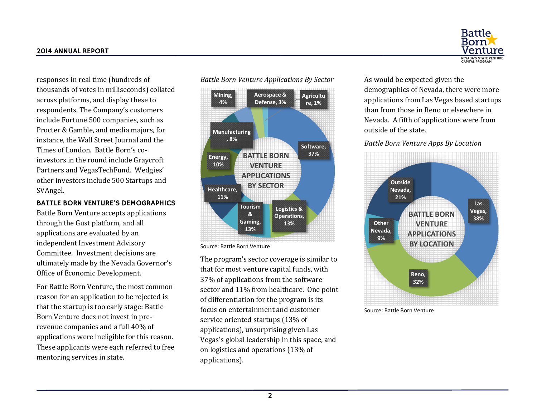responses in real time (hundreds of thousands of votes in milliseconds) collated across platforms, and display these to respondents. The Company's customers include Fortune 500 companies, such as Procter & Gamble, and media majors, for instance, the Wall Street Journal and the Times of London. Battle Born's coinvestors in the round include Graycroft Partners and VegasTechFund. Wedgies' other investors include 500 Startups and SVAngel.

## BATTLE BORN VENTURE'S DEMOGRAPHICS

Battle Born Venture accepts applications through the Gust platform, and all applications are evaluated by an independent Investment Advisory Committee. Investment decisions are ultimately made by the Nevada Governor's Office of Economic Development.

For Battle Born Venture, the most common reason for an application to be rejected is that the startup is too early stage: Battle Born Venture does not invest in prerevenue companies and a full 40% of applications were ineligible for this reason. These applicants were each referred to free mentoring services in state.





Source: Battle Born Venture

The program's sector coverage is similar to that for most venture capital funds, with 37% of applications from the software sector and 11% from healthcare. One point of differentiation for the program is its focus on entertainment and customer service oriented startups (13% of applications), unsurprising given Las Vegas's global leadership in this space, and on logistics and operations (13% of applications).

**Battle** Rorn **NEVADA'S STATE VENTUR**<br>CAPITAL PROGRAM

As would be expected given the demographics of Nevada, there were more applications from Las Vegas based startups than from those in Reno or elsewhere in Nevada. A fifth of applications were from outside of the state.

### *Battle Born Venture Apps By Location*



Source: Battle Born Venture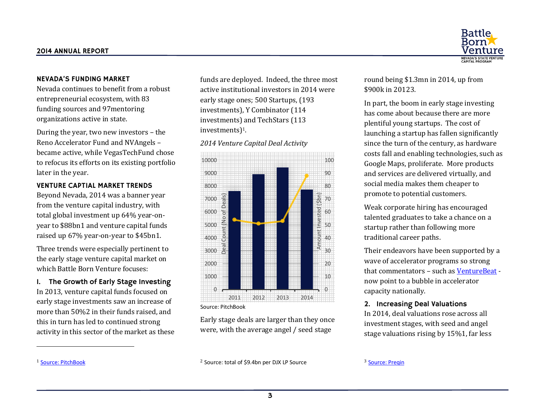## NEVADA'S FUNDING MARKET

Nevada continues to benefit from a robust entrepreneurial ecosystem, with 83 funding sources and 97mentoring organizations active in state.

During the year, two new investors – the Reno Accelerator Fund and NVAngels – became active, while VegasTechFund chose to refocus its efforts on its existing portfolio later in the year.

### VENTURE CAPTIAL MARKET TRENDS

Beyond Nevada, 2014 was a banner year from the venture capital industry, with total global investment up 64% year-onyear to \$88bn1 and venture capital funds raised up 67% year-on-year to \$45b[n1.](#page-2-0) 

<span id="page-2-0"></span>Three trends were especially pertinent to the early stage venture capital market on which Battle Born Venture focuses:

1. The Growth of Early Stage Investing In 2013, venture capital funds focused on early stage investments saw an increase of more than 50%2 in their funds raised, and this in turn has led to continued strong activity in this sector of the market as these funds are deployed. Indeed, the three most active institutional investors in 2014 were early stage ones; 500 Startups, (193 investments), Y Combinator (114 investments) and TechStars (113 investments[\)](#page-2-0)1.

#### *2014 Venture Capital Deal Activity*



Early stage deals are larger than they once were, with the average angel / seed stage

round being \$1.3mn in 2014, up from \$900k in 20123.

In part, the boom in early stage investing has come about because there are more plentiful young startups. The cost of launching a startup has fallen significantly since the turn of the century, as hardware costs fall and enabling technologies, such as Google Maps, proliferate. More products and services are delivered virtually, and social media makes them cheaper to promote to potential customers.

Weak corporate hiring has encouraged talented graduates to take a chance on a startup rather than following more traditional career paths.

Their endeavors have been supported by a wave of accelerator programs so strong that commentators – such a[s VentureBeat](http://venturebeat.com/2015/01/05/10-ways-the-accelerator-model-will-change-this-year/) now point to a bubble in accelerator capacity nationally.

# 2. Increasing Deal Valuations

In 2014, deal valuations rose across all investment stages, with seed and angel stage valuations rising by 15[%1,](#page-2-0) far less

<sup>1</sup> [Source: PitchBook](http://blog.pitchbook.com/wp-content/uploads/2015/01/PitchBook_2014Annual_Global_Venture_Capital_DATAGRAPHIC-2.pdf)

 $\overline{a}$ 

<sup>2</sup> Source: total of \$9.4bn per DJX LP Source

<sup>3</sup> Source: Pregin